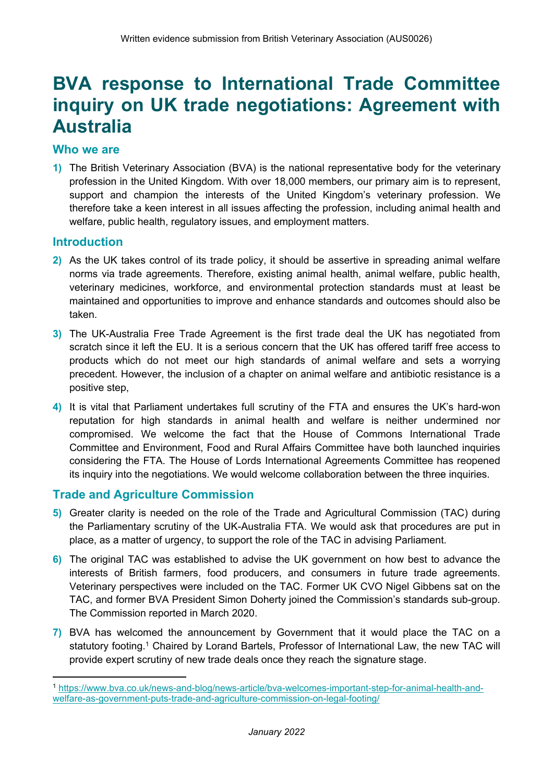# **BVA response to International Trade Committee inquiry on UK trade negotiations: Agreement with Australia**

#### **Who we are**

**1)** The British Veterinary Association (BVA) is the national representative body for the veterinary profession in the United Kingdom. With over 18,000 members, our primary aim is to represent, support and champion the interests of the United Kingdom's veterinary profession. We therefore take a keen interest in all issues affecting the profession, including animal health and welfare, public health, regulatory issues, and employment matters.

#### **Introduction**

- **2)** As the UK takes control of its trade policy, it should be assertive in spreading animal welfare norms via trade agreements. Therefore, existing animal health, animal welfare, public health, veterinary medicines, workforce, and environmental protection standards must at least be maintained and opportunities to improve and enhance standards and outcomes should also be taken.
- **3)** The UK-Australia Free Trade Agreement is the first trade deal the UK has negotiated from scratch since it left the EU. It is a serious concern that the UK has offered tariff free access to products which do not meet our high standards of animal welfare and sets a worrying precedent. However, the inclusion of a chapter on animal welfare and antibiotic resistance is a positive step,
- **4)** It is vital that Parliament undertakes full scrutiny of the FTA and ensures the UK's hard-won reputation for high standards in animal health and welfare is neither undermined nor compromised. We welcome the fact that the House of Commons International Trade Committee and Environment, Food and Rural Affairs Committee have both launched inquiries considering the FTA. The House of Lords International Agreements Committee has reopened its inquiry into the negotiations. We would welcome collaboration between the three inquiries.

## **Trade and Agriculture Commission**

- **5)** Greater clarity is needed on the role of the Trade and Agricultural Commission (TAC) during the Parliamentary scrutiny of the UK-Australia FTA. We would ask that procedures are put in place, as a matter of urgency, to support the role of the TAC in advising Parliament.
- **6)** The original TAC was established to advise the UK government on how best to advance the interests of British farmers, food producers, and consumers in future trade agreements. Veterinary perspectives were included on the TAC. Former UK CVO Nigel Gibbens sat on the TAC, and former BVA President Simon Doherty joined the Commission's standards sub-group. The Commission reported in March 2020.
- **7)** BVA has welcomed the announcement by Government that it would place the TAC on a statutory footing.<sup>1</sup> Chaired by Lorand Bartels, Professor of International Law, the new TAC will provide expert scrutiny of new trade deals once they reach the signature stage.

<sup>1</sup> [https://www.bva.co.uk/news-and-blog/news-article/bva-welcomes-important-step-for-animal-health-and](https://www.bva.co.uk/news-and-blog/news-article/bva-welcomes-important-step-for-animal-health-and-welfare-as-government-puts-trade-and-agriculture-commission-on-legal-footing/)[welfare-as-government-puts-trade-and-agriculture-commission-on-legal-footing/](https://www.bva.co.uk/news-and-blog/news-article/bva-welcomes-important-step-for-animal-health-and-welfare-as-government-puts-trade-and-agriculture-commission-on-legal-footing/)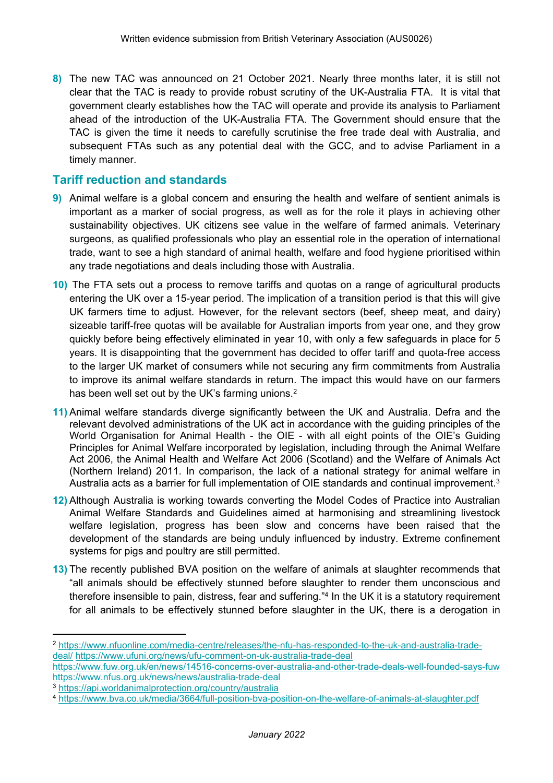**8)** The new TAC was announced on 21 October 2021. Nearly three months later, it is still not clear that the TAC is ready to provide robust scrutiny of the UK-Australia FTA. It is vital that government clearly establishes how the TAC will operate and provide its analysis to Parliament ahead of the introduction of the UK-Australia FTA. The Government should ensure that the TAC is given the time it needs to carefully scrutinise the free trade deal with Australia, and subsequent FTAs such as any potential deal with the GCC, and to advise Parliament in a timely manner.

# **Tariff reduction and standards**

- **9)** Animal welfare is a global concern and ensuring the health and welfare of sentient animals is important as a marker of social progress, as well as for the role it plays in achieving other sustainability objectives. UK citizens see value in the welfare of farmed animals. Veterinary surgeons, as qualified professionals who play an essential role in the operation of international trade, want to see a high standard of animal health, welfare and food hygiene prioritised within any trade negotiations and deals including those with Australia.
- **10)** The FTA sets out a process to remove tariffs and quotas on a range of agricultural products entering the UK over a 15-year period. The implication of a transition period is that this will give UK farmers time to adjust. However, for the relevant sectors (beef, sheep meat, and dairy) sizeable tariff-free quotas will be available for Australian imports from year one, and they grow quickly before being effectively eliminated in year 10, with only a few safeguards in place for 5 years. It is disappointing that the government has decided to offer tariff and quota-free access to the larger UK market of consumers while not securing any firm commitments from Australia to improve its animal welfare standards in return. The impact this would have on our farmers has been well set out by the UK's farming unions.<sup>2</sup>
- **11)** Animal welfare standards diverge significantly between the UK and Australia. Defra and the relevant devolved administrations of the UK act in accordance with the guiding principles of the World Organisation for Animal Health - the OIE - with all eight points of the OIE's Guiding Principles for Animal Welfare incorporated by legislation, including through the Animal Welfare Act 2006, the Animal Health and Welfare Act 2006 (Scotland) and the Welfare of Animals Act (Northern Ireland) 2011. In comparison, the lack of a national strategy for animal welfare in Australia acts as a barrier for full implementation of OIE standards and continual improvement.<sup>3</sup>
- **12)** Although Australia is working towards converting the Model Codes of Practice into Australian Animal Welfare Standards and Guidelines aimed at harmonising and streamlining livestock welfare legislation, progress has been slow and concerns have been raised that the development of the standards are being unduly influenced by industry. Extreme confinement systems for pigs and poultry are still permitted.
- **13)** The recently published BVA position on the welfare of animals at slaughter recommends that "all animals should be effectively stunned before slaughter to render them unconscious and therefore insensible to pain, distress, fear and suffering."<sup>4</sup> In the UK it is a statutory requirement for all animals to be effectively stunned before slaughter in the UK, there is a derogation in

<sup>2</sup> [https://www.nfuonline.com/media-centre/releases/the-nfu-has-responded-to-the-uk-and-australia-trade](https://www.nfuonline.com/media-centre/releases/the-nfu-has-responded-to-the-uk-and-australia-trade-deal/%20)[deal/](https://www.nfuonline.com/media-centre/releases/the-nfu-has-responded-to-the-uk-and-australia-trade-deal/%20) [https://www.ufuni.org/news/ufu-comment-on-uk-australia-trade-deal](https://www.ufuni.org/news/ufu-comment-on-uk-australia-trade-deal%20)

<https://www.fuw.org.uk/en/news/14516-concerns-over-australia-and-other-trade-deals-well-founded-says-fuw> <https://www.nfus.org.uk/news/news/australia-trade-deal>

<sup>3</sup> <https://api.worldanimalprotection.org/country/australia>

<sup>4</sup> <https://www.bva.co.uk/media/3664/full-position-bva-position-on-the-welfare-of-animals-at-slaughter.pdf>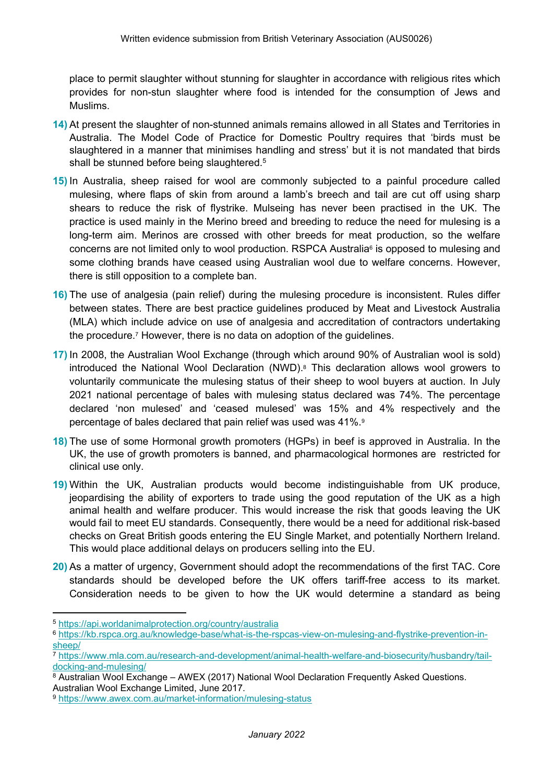place to permit slaughter without stunning for slaughter in accordance with religious rites which provides for non-stun slaughter where food is intended for the consumption of Jews and Muslims.

- **14)** At present the slaughter of non-stunned animals remains allowed in all States and Territories in Australia. The Model Code of Practice for Domestic Poultry requires that 'birds must be slaughtered in a manner that minimises handling and stress' but it is not mandated that birds shall be stunned before being slaughtered.<sup>5</sup>
- **15)** In Australia, sheep raised for wool are commonly subjected to a painful procedure called mulesing, where flaps of skin from around a lamb's breech and tail are cut off using sharp shears to reduce the risk of flystrike. Mulseing has never been practised in the UK. The practice is used mainly in the Merino breed and breeding to reduce the need for mulesing is a long-term aim. Merinos are crossed with other breeds for meat production, so the welfare concerns are not limited only to wool production. RSPCA Australia<sup>6</sup> is opposed to mulesing and some clothing brands have ceased using Australian wool due to welfare concerns. However, there is still opposition to a complete ban.
- **16)** The use of analgesia (pain relief) during the mulesing procedure is inconsistent. Rules differ between states. There are best practice guidelines produced by Meat and Livestock Australia (MLA) which include advice on use of analgesia and accreditation of contractors undertaking the procedure.<sup>7</sup> However, there is no data on adoption of the guidelines.
- **17)** In 2008, the Australian Wool Exchange (through which around 90% of Australian wool is sold) introduced the National Wool Declaration (NWD).<sup>8</sup> This declaration allows wool growers to voluntarily communicate the mulesing status of their sheep to wool buyers at auction. In July 2021 national percentage of bales with mulesing status declared was 74%. The percentage declared 'non mulesed' and 'ceased mulesed' was 15% and 4% respectively and the percentage of bales declared that pain relief was used was 41%.<sup>9</sup>
- **18)** The use of some Hormonal growth promoters (HGPs) in beef is approved in Australia. In the UK, the use of growth promoters is banned, and pharmacological hormones are restricted for clinical use only.
- **19)** Within the UK, Australian products would become indistinguishable from UK produce, jeopardising the ability of exporters to trade using the good reputation of the UK as a high animal health and welfare producer. This would increase the risk that goods leaving the UK would fail to meet EU standards. Consequently, there would be a need for additional risk-based checks on Great British goods entering the EU Single Market, and potentially Northern Ireland. This would place additional delays on producers selling into the EU.
- **20)** As a matter of urgency, Government should adopt the recommendations of the first TAC. Core standards should be developed before the UK offers tariff-free access to its market. Consideration needs to be given to how the UK would determine a standard as being

<sup>5</sup> <https://api.worldanimalprotection.org/country/australia>

<sup>6</sup> [https://kb.rspca.org.au/knowledge-base/what-is-the-rspcas-view-on-mulesing-and-flystrike-prevention-in](https://kb.rspca.org.au/knowledge-base/what-is-the-rspcas-view-on-mulesing-and-flystrike-prevention-in-sheep/)[sheep/](https://kb.rspca.org.au/knowledge-base/what-is-the-rspcas-view-on-mulesing-and-flystrike-prevention-in-sheep/)

<sup>7</sup> [https://www.mla.com.au/research-and-development/animal-health-welfare-and-biosecurity/husbandry/tail](https://www.mla.com.au/research-and-development/animal-health-welfare-and-biosecurity/husbandry/tail-docking-and-mulesing/)[docking-and-mulesing/](https://www.mla.com.au/research-and-development/animal-health-welfare-and-biosecurity/husbandry/tail-docking-and-mulesing/)

 $8$  Australian Wool Exchange – AWEX (2017) National Wool Declaration Frequently Asked Questions. Australian Wool Exchange Limited, June 2017.

<sup>9</sup> <https://www.awex.com.au/market-information/mulesing-status>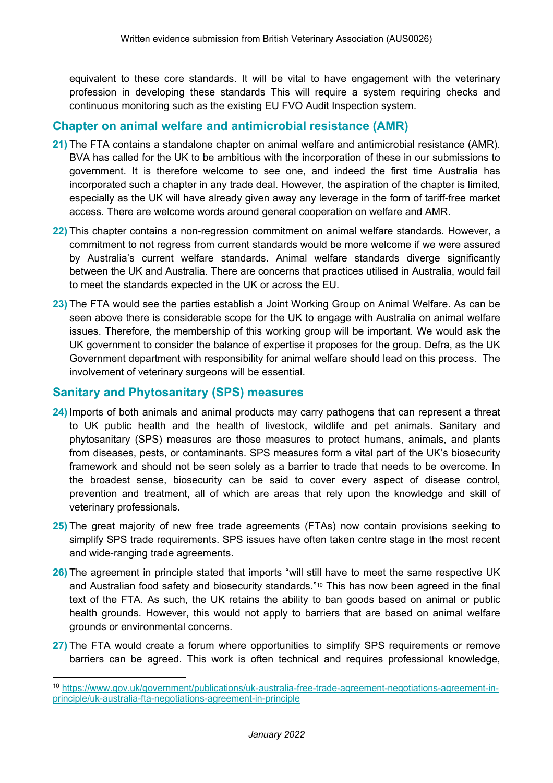equivalent to these core standards. It will be vital to have engagement with the veterinary profession in developing these standards This will require a system requiring checks and continuous monitoring such as the existing EU FVO Audit Inspection system.

# **Chapter on animal welfare and antimicrobial resistance (AMR)**

- **21)** The FTA contains a standalone chapter on animal welfare and antimicrobial resistance (AMR). BVA has called for the UK to be ambitious with the incorporation of these in our submissions to government. It is therefore welcome to see one, and indeed the first time Australia has incorporated such a chapter in any trade deal. However, the aspiration of the chapter is limited, especially as the UK will have already given away any leverage in the form of tariff-free market access. There are welcome words around general cooperation on welfare and AMR.
- **22)** This chapter contains a non-regression commitment on animal welfare standards. However, a commitment to not regress from current standards would be more welcome if we were assured by Australia's current welfare standards. Animal welfare standards diverge significantly between the UK and Australia. There are concerns that practices utilised in Australia, would fail to meet the standards expected in the UK or across the EU.
- **23)** The FTA would see the parties establish a Joint Working Group on Animal Welfare. As can be seen above there is considerable scope for the UK to engage with Australia on animal welfare issues. Therefore, the membership of this working group will be important. We would ask the UK government to consider the balance of expertise it proposes for the group. Defra, as the UK Government department with responsibility for animal welfare should lead on this process. The involvement of veterinary surgeons will be essential.

## **Sanitary and Phytosanitary (SPS) measures**

- **24)** Imports of both animals and animal products may carry pathogens that can represent a threat to UK public health and the health of livestock, wildlife and pet animals. Sanitary and phytosanitary (SPS) measures are those measures to protect humans, animals, and plants from diseases, pests, or contaminants. SPS measures form a vital part of the UK's biosecurity framework and should not be seen solely as a barrier to trade that needs to be overcome. In the broadest sense, biosecurity can be said to cover every aspect of disease control, prevention and treatment, all of which are areas that rely upon the knowledge and skill of veterinary professionals.
- **25)** The great majority of new free trade agreements (FTAs) now contain provisions seeking to simplify SPS trade requirements. SPS issues have often taken centre stage in the most recent and wide-ranging trade agreements.
- **26)** The agreement in principle stated that imports "will still have to meet the same respective UK and Australian food safety and biosecurity standards."<sup>10</sup> This has now been agreed in the final text of the FTA. As such, the UK retains the ability to ban goods based on animal or public health grounds. However, this would not apply to barriers that are based on animal welfare grounds or environmental concerns.
- **27)** The FTA would create a forum where opportunities to simplify SPS requirements or remove barriers can be agreed. This work is often technical and requires professional knowledge,

<sup>10</sup> [https://www.gov.uk/government/publications/uk-australia-free-trade-agreement-negotiations-agreement-in](https://www.gov.uk/government/publications/uk-australia-free-trade-agreement-negotiations-agreement-in-principle/uk-australia-fta-negotiations-agreement-in-principle)[principle/uk-australia-fta-negotiations-agreement-in-principle](https://www.gov.uk/government/publications/uk-australia-free-trade-agreement-negotiations-agreement-in-principle/uk-australia-fta-negotiations-agreement-in-principle)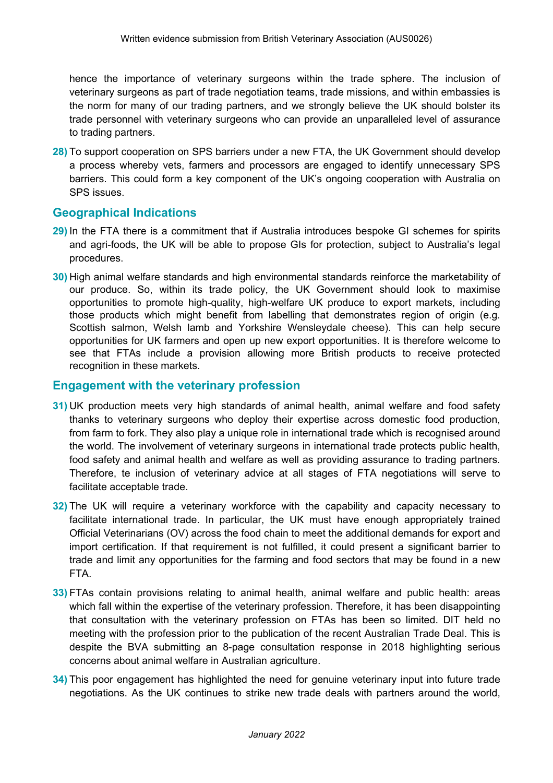hence the importance of veterinary surgeons within the trade sphere. The inclusion of veterinary surgeons as part of trade negotiation teams, trade missions, and within embassies is the norm for many of our trading partners, and we strongly believe the UK should bolster its trade personnel with veterinary surgeons who can provide an unparalleled level of assurance to trading partners.

**28)** To support cooperation on SPS barriers under a new FTA, the UK Government should develop a process whereby vets, farmers and processors are engaged to identify unnecessary SPS barriers. This could form a key component of the UK's ongoing cooperation with Australia on SPS issues.

## **Geographical Indications**

- **29)** In the FTA there is a commitment that if Australia introduces bespoke GI schemes for spirits and agri-foods, the UK will be able to propose GIs for protection, subject to Australia's legal procedures.
- **30)** High animal welfare standards and high environmental standards reinforce the marketability of our produce. So, within its trade policy, the UK Government should look to maximise opportunities to promote high-quality, high-welfare UK produce to export markets, including those products which might benefit from labelling that demonstrates region of origin (e.g. Scottish salmon, Welsh lamb and Yorkshire Wensleydale cheese). This can help secure opportunities for UK farmers and open up new export opportunities. It is therefore welcome to see that FTAs include a provision allowing more British products to receive protected recognition in these markets.

#### **Engagement with the veterinary profession**

- **31)** UK production meets very high standards of animal health, animal welfare and food safety thanks to veterinary surgeons who deploy their expertise across domestic food production, from farm to fork. They also play a unique role in international trade which is recognised around the world. The involvement of veterinary surgeons in international trade protects public health, food safety and animal health and welfare as well as providing assurance to trading partners. Therefore, te inclusion of veterinary advice at all stages of FTA negotiations will serve to facilitate acceptable trade.
- **32)** The UK will require a veterinary workforce with the capability and capacity necessary to facilitate international trade. In particular, the UK must have enough appropriately trained Official Veterinarians (OV) across the food chain to meet the additional demands for export and import certification. If that requirement is not fulfilled, it could present a significant barrier to trade and limit any opportunities for the farming and food sectors that may be found in a new FTA.
- **33)** FTAs contain provisions relating to animal health, animal welfare and public health: areas which fall within the expertise of the veterinary profession. Therefore, it has been disappointing that consultation with the veterinary profession on FTAs has been so limited. DIT held no meeting with the profession prior to the publication of the recent Australian Trade Deal. This is despite the BVA submitting an 8-page consultation response in 2018 highlighting serious concerns about animal welfare in Australian agriculture.
- **34)** This poor engagement has highlighted the need for genuine veterinary input into future trade negotiations. As the UK continues to strike new trade deals with partners around the world,